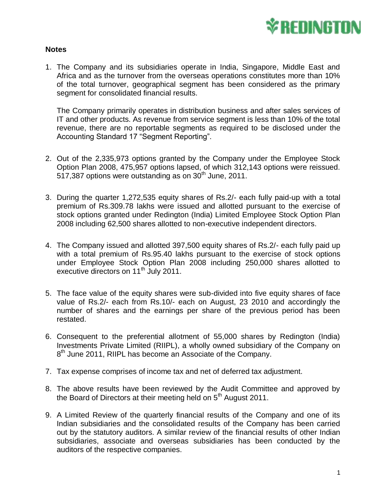

## **Notes**

1. The Company and its subsidiaries operate in India, Singapore, Middle East and Africa and as the turnover from the overseas operations constitutes more than 10% of the total turnover, geographical segment has been considered as the primary segment for consolidated financial results.

The Company primarily operates in distribution business and after sales services of IT and other products. As revenue from service segment is less than 10% of the total revenue, there are no reportable segments as required to be disclosed under the Accounting Standard 17 "Segment Reporting".

- 2. Out of the 2,335,973 options granted by the Company under the Employee Stock Option Plan 2008, 475,957 options lapsed, of which 312,143 options were reissued. 517,387 options were outstanding as on  $30<sup>th</sup>$  June, 2011.
- 3. During the quarter 1,272,535 equity shares of Rs.2/- each fully paid-up with a total premium of Rs.309.78 lakhs were issued and allotted pursuant to the exercise of stock options granted under Redington (India) Limited Employee Stock Option Plan 2008 including 62,500 shares allotted to non-executive independent directors.
- 4. The Company issued and allotted 397,500 equity shares of Rs.2/- each fully paid up with a total premium of Rs.95.40 lakhs pursuant to the exercise of stock options under Employee Stock Option Plan 2008 including 250,000 shares allotted to executive directors on 11<sup>th</sup> July 2011.
- 5. The face value of the equity shares were sub-divided into five equity shares of face value of Rs.2/- each from Rs.10/- each on August, 23 2010 and accordingly the number of shares and the earnings per share of the previous period has been restated.
- 6. Consequent to the preferential allotment of 55,000 shares by Redington (India) Investments Private Limited (RIIPL), a wholly owned subsidiary of the Company on 8<sup>th</sup> June 2011, RIIPL has become an Associate of the Company.
- 7. Tax expense comprises of income tax and net of deferred tax adjustment.
- 8. The above results have been reviewed by the Audit Committee and approved by the Board of Directors at their meeting held on  $5<sup>th</sup>$  August 2011.
- 9. A Limited Review of the quarterly financial results of the Company and one of its Indian subsidiaries and the consolidated results of the Company has been carried out by the statutory auditors. A similar review of the financial results of other Indian subsidiaries, associate and overseas subsidiaries has been conducted by the auditors of the respective companies.